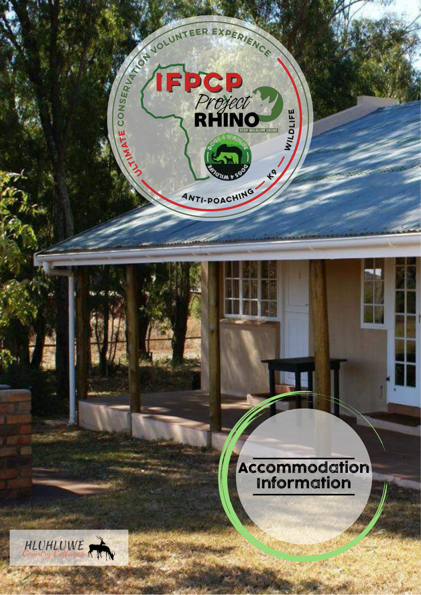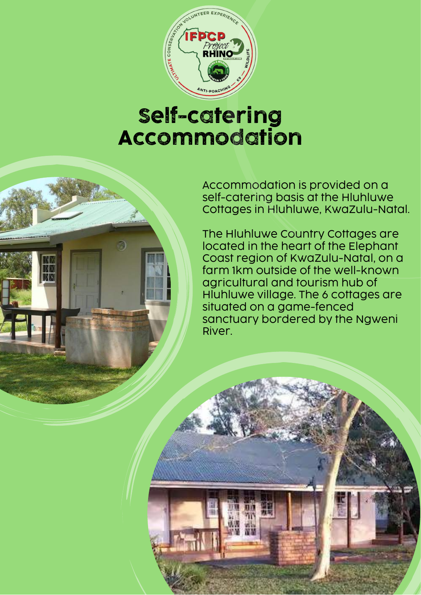

## Self-catering Accommodation



The Hluhluwe Country Cottages are located in the heart of the Elephant Coast region of KwaZulu-Natal, on a farm 1km outside of the well-known agricultural and tourism hub of Hluhluwe village. The 6 cottages are situated on a game-fenced sanctuary bordered by the Ngweni River.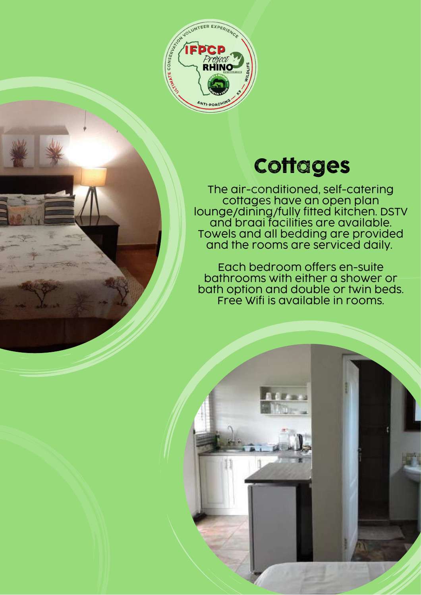

## Cottages

The air-conditioned, self-catering cottages have an open plan lounge/dining/fully fitted kitchen. DSTV and braai facilities are available. Towels and all bedding are provided and the rooms are serviced daily.

Each bedroom offers en-suite bathrooms with either a shower or bath option and double or twin beds. Free Wifi is available in rooms.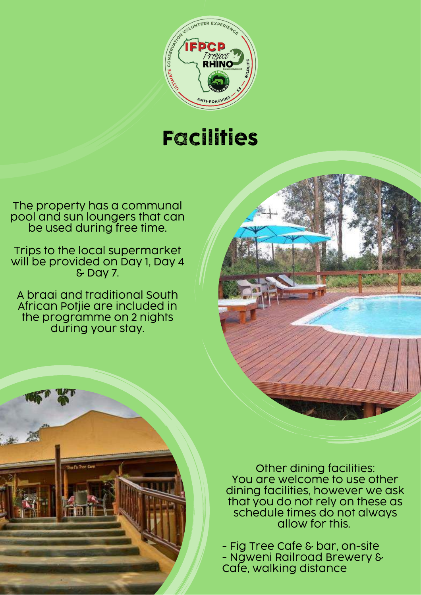

## Facilities

The property has a communal pool and sun loungers that can be used during free time.

Trips to the local supermarket will be provided on Day 1, Day 4 & Day 7.

A braai and traditional South African Potjie are included in the programme on 2 nights during your stay.



Other dining facilities: You are welcome to use other dining facilities, however we ask that you do not rely on these as schedule times do not always allow for this.

- Fig Tree Cafe & bar, on-site - Ngweni Railroad Brewery & Cafe, walking distance